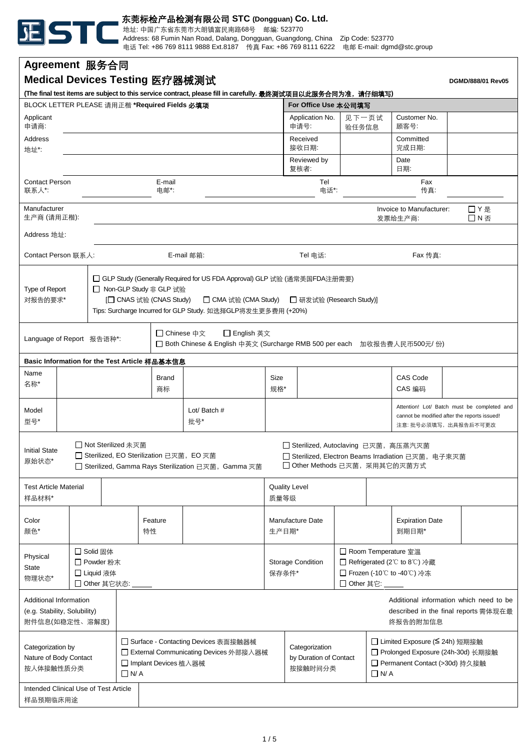

**Agreement** 服务合同

东莞标检产品检测有限公司 **STC (Dongguan) Co. Ltd.**

地址: 中国广东省东莞市大朗镇富民南路68号 邮编: 523770

Address: 68 Fumin Nan Road, Dalang, Dongguan, Guangdong, China Zip Code: 523770 电话 Tel: +86 769 8111 9888 Ext.8187 传真 Fax: +86 769 8111 6222 电邮 E-mail: dgmd@stc.group

| Medical Devices Testing 医疗器械测试<br>DGMD/888/01 Rev05                                                                                                                                                                                                                                          |  |                |               |                                                                                                                          |                                                                                                                                                                                                                                                      |  |                           |                                                                                                                      |                                                                                                                                                                                |                     |                                 |                                                                                       |                                     |  |            |
|----------------------------------------------------------------------------------------------------------------------------------------------------------------------------------------------------------------------------------------------------------------------------------------------|--|----------------|---------------|--------------------------------------------------------------------------------------------------------------------------|------------------------------------------------------------------------------------------------------------------------------------------------------------------------------------------------------------------------------------------------------|--|---------------------------|----------------------------------------------------------------------------------------------------------------------|--------------------------------------------------------------------------------------------------------------------------------------------------------------------------------|---------------------|---------------------------------|---------------------------------------------------------------------------------------|-------------------------------------|--|------------|
| (The final test items are subject to this service contract, please fill in carefully. 最终测试项目以此服务合同为准,请仔细填写)<br>BLOCK LETTER PLEASE 请用正楷 *Required Fields 必填项<br>For Office Use 本公司填写                                                                                                         |  |                |               |                                                                                                                          |                                                                                                                                                                                                                                                      |  |                           |                                                                                                                      |                                                                                                                                                                                |                     |                                 |                                                                                       |                                     |  |            |
| Applicant                                                                                                                                                                                                                                                                                    |  |                |               |                                                                                                                          |                                                                                                                                                                                                                                                      |  |                           |                                                                                                                      | 见下一页试<br>Application No.                                                                                                                                                       |                     |                                 |                                                                                       | Customer No.                        |  |            |
| 申请商:                                                                                                                                                                                                                                                                                         |  |                |               |                                                                                                                          |                                                                                                                                                                                                                                                      |  |                           |                                                                                                                      | 申请号:                                                                                                                                                                           | 验任务信息               |                                 | 顾客号:                                                                                  |                                     |  |            |
| Address<br>地址*:                                                                                                                                                                                                                                                                              |  |                |               |                                                                                                                          |                                                                                                                                                                                                                                                      |  |                           |                                                                                                                      |                                                                                                                                                                                | Received<br>接收日期:   |                                 |                                                                                       | Committed<br>完成日期:                  |  |            |
|                                                                                                                                                                                                                                                                                              |  |                |               |                                                                                                                          |                                                                                                                                                                                                                                                      |  |                           |                                                                                                                      |                                                                                                                                                                                | Reviewed by<br>复核者: |                                 |                                                                                       | Date<br>日期:                         |  |            |
| <b>Contact Person</b><br>联系人*:                                                                                                                                                                                                                                                               |  | E-mail<br>电邮*: |               |                                                                                                                          |                                                                                                                                                                                                                                                      |  | Tel<br>Fax<br>电话*:<br>传真: |                                                                                                                      |                                                                                                                                                                                |                     |                                 |                                                                                       |                                     |  |            |
| Manufacturer<br>生产商 (请用正楷):                                                                                                                                                                                                                                                                  |  |                |               |                                                                                                                          |                                                                                                                                                                                                                                                      |  |                           |                                                                                                                      |                                                                                                                                                                                |                     |                                 |                                                                                       | Invoice to Manufacturer:<br>发票给生产商: |  | □Y是<br>□N否 |
| Address 地址:                                                                                                                                                                                                                                                                                  |  |                |               |                                                                                                                          |                                                                                                                                                                                                                                                      |  |                           |                                                                                                                      |                                                                                                                                                                                |                     |                                 |                                                                                       |                                     |  |            |
| Contact Person 联系人:                                                                                                                                                                                                                                                                          |  |                |               |                                                                                                                          |                                                                                                                                                                                                                                                      |  | E-mail 邮箱:                | Tel 电话:                                                                                                              |                                                                                                                                                                                |                     |                                 | Fax 传真:                                                                               |                                     |  |            |
| Type of Report<br>对报告的要求*                                                                                                                                                                                                                                                                    |  |                |               |                                                                                                                          | □ GLP Study (Generally Required for US FDA Approval) GLP 试验 (通常美国FDA注册需要)<br>□ Non-GLP Study 非 GLP 试验<br>[□ CNAS 试验 (CNAS Study)<br>□ CMA 试验 (CMA Study)<br>□ 研发试验 (Research Study)]<br>Tips: Surcharge Incurred for GLP Study. 如选择GLP将发生更多费用 (+20%) |  |                           |                                                                                                                      |                                                                                                                                                                                |                     |                                 |                                                                                       |                                     |  |            |
| Language of Report 报告语种*:                                                                                                                                                                                                                                                                    |  |                |               | □ Chinese 中文<br>□ English 英文<br>□ Both Chinese & English 中英文 (Surcharge RMB 500 per each 加收报告费人民币500元/份)                 |                                                                                                                                                                                                                                                      |  |                           |                                                                                                                      |                                                                                                                                                                                |                     |                                 |                                                                                       |                                     |  |            |
| Basic Information for the Test Article 样品基本信息                                                                                                                                                                                                                                                |  |                |               |                                                                                                                          |                                                                                                                                                                                                                                                      |  |                           |                                                                                                                      |                                                                                                                                                                                |                     |                                 |                                                                                       |                                     |  |            |
| Name<br>名称*                                                                                                                                                                                                                                                                                  |  |                |               |                                                                                                                          | Brand<br>商标                                                                                                                                                                                                                                          |  |                           | Size                                                                                                                 | 规格*                                                                                                                                                                            |                     |                                 | <b>CAS Code</b><br>CAS 编码                                                             |                                     |  |            |
| Model<br>型号*                                                                                                                                                                                                                                                                                 |  |                |               | Lot/ Batch #<br>批号*                                                                                                      |                                                                                                                                                                                                                                                      |  |                           | Attention! Lot/ Batch must be completed and<br>cannot be modified after the reports issued!<br>注意: 批号必须填写, 出具报告后不可更改 |                                                                                                                                                                                |                     |                                 |                                                                                       |                                     |  |            |
| □ Not Sterilized 未灭菌<br>□ Sterilized, Autoclaving 已灭菌, 高压蒸汽灭菌<br><b>Initial State</b><br>□ Sterilized, EO Sterilization 已灭菌, EO 灭菌<br>□ Sterilized, Electron Beams Irradiation 已灭菌, 电子束灭菌<br>原始状态*<br>□ Other Methods 已灭菌, 采用其它的灭菌方式<br>□ Sterilized, Gamma Rays Sterilization 已灭菌, Gamma 灭菌 |  |                |               |                                                                                                                          |                                                                                                                                                                                                                                                      |  |                           |                                                                                                                      |                                                                                                                                                                                |                     |                                 |                                                                                       |                                     |  |            |
| <b>Test Article Material</b><br>样品材料*                                                                                                                                                                                                                                                        |  |                |               |                                                                                                                          |                                                                                                                                                                                                                                                      |  |                           | <b>Quality Level</b><br>质量等级                                                                                         |                                                                                                                                                                                |                     |                                 |                                                                                       |                                     |  |            |
| Color<br>颜色*                                                                                                                                                                                                                                                                                 |  |                | Feature<br>特性 |                                                                                                                          |                                                                                                                                                                                                                                                      |  | Manufacture Date<br>生产日期* |                                                                                                                      |                                                                                                                                                                                |                     | <b>Expiration Date</b><br>到期日期* |                                                                                       |                                     |  |            |
| □ Solid 固体<br>Physical<br>□ Powder 粉末<br><b>State</b><br>□ Liquid 液体<br>物理状态*<br>□ Other 其它状态:                                                                                                                                                                                               |  |                |               |                                                                                                                          |                                                                                                                                                                                                                                                      |  |                           | <b>Storage Condition</b><br>保存条件*<br>□ Other 其它:                                                                     |                                                                                                                                                                                |                     |                                 | □ Room Temperature 室温<br>□ Refrigerated (2°C to 8°C) 冷藏<br>□ Frozen (-10℃ to -40℃) 冷冻 |                                     |  |            |
| Additional Information<br>Additional information which need to be<br>(e.g. Stability, Solubility)<br>described in the final reports 需体现在最<br>附件信息(如稳定性、溶解度)<br>终报告的附加信息                                                                                                                      |  |                |               |                                                                                                                          |                                                                                                                                                                                                                                                      |  |                           |                                                                                                                      |                                                                                                                                                                                |                     |                                 |                                                                                       |                                     |  |            |
| Categorization by<br>Nature of Body Contact<br>按人体接触性质分类                                                                                                                                                                                                                                     |  |                |               | □ Surface - Contacting Devices 表面接触器械<br>□ External Communicating Devices 外部接入器械<br>□ Implant Devices 植入器械<br>$\Box$ N/A |                                                                                                                                                                                                                                                      |  |                           |                                                                                                                      | □ Limited Exposure (S 24h) 短期接触<br>Categorization<br>□ Prolonged Exposure (24h-30d) 长期接触<br>by Duration of Contact<br>□ Permanent Contact (>30d) 持久接触<br>按接触时间分类<br>$\Box$ N/A |                     |                                 |                                                                                       |                                     |  |            |
| Intended Clinical Use of Test Article<br>样品预期临床用途                                                                                                                                                                                                                                            |  |                |               |                                                                                                                          |                                                                                                                                                                                                                                                      |  |                           |                                                                                                                      |                                                                                                                                                                                |                     |                                 |                                                                                       |                                     |  |            |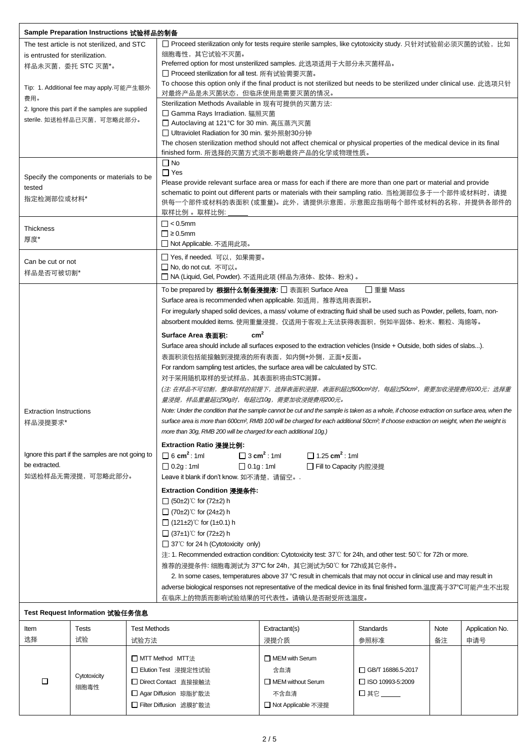| Sample Preparation Instructions 试验样品的制备     |                                                  |                          |                                                                                                                                                                                                                                         |                                              |                     |      |                 |  |  |  |  |
|---------------------------------------------|--------------------------------------------------|--------------------------|-----------------------------------------------------------------------------------------------------------------------------------------------------------------------------------------------------------------------------------------|----------------------------------------------|---------------------|------|-----------------|--|--|--|--|
| The test article is not sterilized, and STC |                                                  |                          | □ Proceed sterilization only for tests require sterile samples, like cytotoxicity study. 只针对试验前必须灭菌的试验,比如                                                                                                                               |                                              |                     |      |                 |  |  |  |  |
| is entrusted for sterilization.             |                                                  |                          | 细胞毒性, 其它试验不灭菌。                                                                                                                                                                                                                          |                                              |                     |      |                 |  |  |  |  |
| 样品未灭菌, 委托 STC 灭菌*。                          |                                                  |                          | Preferred option for most unsterilized samples. 此选项适用于大部分未灭菌样品。                                                                                                                                                                         |                                              |                     |      |                 |  |  |  |  |
|                                             |                                                  |                          | □ Proceed sterilization for all test. 所有试验需要灭菌。                                                                                                                                                                                         |                                              |                     |      |                 |  |  |  |  |
|                                             | Tip: 1. Additional fee may apply.可能产生额外          |                          | To choose this option only if the final product is not sterilized but needs to be sterilized under clinical use. 此选项只针                                                                                                                  |                                              |                     |      |                 |  |  |  |  |
| 费用。                                         |                                                  |                          | 对最终产品是未灭菌状态,但临床使用是需要灭菌的情况。                                                                                                                                                                                                              |                                              |                     |      |                 |  |  |  |  |
|                                             | 2. Ignore this part if the samples are supplied  |                          | Sterilization Methods Available in 现有可提供的灭菌方法:                                                                                                                                                                                          |                                              |                     |      |                 |  |  |  |  |
|                                             | sterile. 如送检样品已灭菌, 可忽略此部分。                       |                          | □ Gamma Rays Irradiation. 辐照灭菌                                                                                                                                                                                                          |                                              |                     |      |                 |  |  |  |  |
|                                             |                                                  |                          | □ Autoclaving at 121°C for 30 min. 高压蒸汽灭菌                                                                                                                                                                                               |                                              |                     |      |                 |  |  |  |  |
|                                             |                                                  |                          | □ Ultraviolet Radiation for 30 min. 紫外照射30分钟<br>The chosen sterilization method should not affect chemical or physical properties of the medical device in its final                                                                    |                                              |                     |      |                 |  |  |  |  |
|                                             |                                                  |                          | finished form. 所选择的灭菌方式须不影响最终产品的化学或物理性质。                                                                                                                                                                                                |                                              |                     |      |                 |  |  |  |  |
|                                             |                                                  |                          | $\Box$ No                                                                                                                                                                                                                               |                                              |                     |      |                 |  |  |  |  |
|                                             |                                                  |                          | $\Box$ Yes                                                                                                                                                                                                                              |                                              |                     |      |                 |  |  |  |  |
|                                             | Specify the components or materials to be.       |                          | Please provide relevant surface area or mass for each if there are more than one part or material and provide                                                                                                                           |                                              |                     |      |                 |  |  |  |  |
| tested                                      |                                                  |                          | schematic to point out different parts or materials with their sampling ratio. 当检测部位多于一个部件或材料时,请提                                                                                                                                       |                                              |                     |      |                 |  |  |  |  |
| 指定检测部位或材料*                                  |                                                  |                          | 供每一个部件或材料的表面积 (或重量)。此外,请提供示意图,示意图应指明每个部件或材料的名称,并提供各部件的                                                                                                                                                                                  |                                              |                     |      |                 |  |  |  |  |
|                                             |                                                  |                          | 取样比例 。取样比例:                                                                                                                                                                                                                             |                                              |                     |      |                 |  |  |  |  |
| <b>Thickness</b>                            |                                                  |                          | $\Box$ < 0.5mm                                                                                                                                                                                                                          |                                              |                     |      |                 |  |  |  |  |
| 厚度*                                         |                                                  |                          | $\Box$ ≥ 0.5mm                                                                                                                                                                                                                          |                                              |                     |      |                 |  |  |  |  |
|                                             |                                                  |                          | □ Not Applicable. 不适用此项。                                                                                                                                                                                                                |                                              |                     |      |                 |  |  |  |  |
| Can be cut or not                           |                                                  |                          | □ Yes, if needed. 可以, 如果需要。                                                                                                                                                                                                             |                                              |                     |      |                 |  |  |  |  |
| 样品是否可被切割*                                   |                                                  |                          | □ No, do not cut. 不可以。                                                                                                                                                                                                                  |                                              |                     |      |                 |  |  |  |  |
|                                             |                                                  |                          | □ NA (Liquid, Gel, Powder). 不适用此项 (样品为液体、胶体、粉末)。                                                                                                                                                                                        |                                              |                     |      |                 |  |  |  |  |
|                                             |                                                  |                          | To be prepared by <b>根据什么制备浸提液:</b> □ 表面积 Surface Area                                                                                                                                                                                  |                                              | □ 重量 Mass           |      |                 |  |  |  |  |
|                                             |                                                  |                          | Surface area is recommended when applicable. 如适用, 推荐选用表面积。                                                                                                                                                                              |                                              |                     |      |                 |  |  |  |  |
|                                             |                                                  |                          | For irregularly shaped solid devices, a mass/volume of extracting fluid shall be used such as Powder, pellets, foam, non-                                                                                                               |                                              |                     |      |                 |  |  |  |  |
|                                             |                                                  |                          | absorbent moulded items. 使用重量浸提,仅适用于客观上无法获得表面积,例如半固体、粉末、颗粒、海绵等。                                                                                                                                                                         |                                              |                     |      |                 |  |  |  |  |
|                                             |                                                  |                          | cm <sup>2</sup><br>Surface Area 表面积:                                                                                                                                                                                                    |                                              |                     |      |                 |  |  |  |  |
|                                             |                                                  |                          | Surface area should include all surfaces exposed to the extraction vehicles (Inside + Outside, both sides of slabs).                                                                                                                    |                                              |                     |      |                 |  |  |  |  |
|                                             |                                                  |                          | 表面积须包括能接触到浸提液的所有表面, 如内侧+外侧, 正面+反面。                                                                                                                                                                                                      |                                              |                     |      |                 |  |  |  |  |
|                                             |                                                  |                          | For random sampling test articles, the surface area will be calculated by STC.                                                                                                                                                          |                                              |                     |      |                 |  |  |  |  |
|                                             |                                                  |                          | 对于采用随机取样的受试样品, 其表面积将由STC测算。                                                                                                                                                                                                             |                                              |                     |      |                 |  |  |  |  |
|                                             |                                                  |                          | (注: 在样品不可切割,整体取样的前提下,选择表面积浸提,表面积超过600cm?时,每超过50cm?,需要加收浸提费用100元; 选择重                                                                                                                                                                    |                                              |                     |      |                 |  |  |  |  |
|                                             |                                                  |                          | 量浸提,样品重量超过30g时,每超过10g,需要加收浸提费用200元。                                                                                                                                                                                                     |                                              |                     |      |                 |  |  |  |  |
| <b>Extraction Instructions</b>              |                                                  |                          | Note: Under the condition that the sample cannot be cut and the sample is taken as a whole, if choose extraction on surface area, when the                                                                                              |                                              |                     |      |                 |  |  |  |  |
| 样品浸提要求*                                     |                                                  |                          | surface area is more than 600cm <sup>2</sup> , RMB 100 will be charged for each additional 50cm <sup>2</sup> ; If choose extraction on weight, when the weight is                                                                       |                                              |                     |      |                 |  |  |  |  |
|                                             |                                                  |                          | more than 30g, RMB 200 will be charged for each additional 10g.)                                                                                                                                                                        |                                              |                     |      |                 |  |  |  |  |
|                                             |                                                  |                          |                                                                                                                                                                                                                                         |                                              |                     |      |                 |  |  |  |  |
|                                             | Ignore this part if the samples are not going to |                          | Extraction Ratio 浸提比例:<br>$\Box$ 6 cm <sup>2</sup> : 1ml<br>$\Box$ 3 cm <sup>2</sup> : 1ml<br>$\Box$ 1.25 cm <sup>2</sup> : 1ml                                                                                                         |                                              |                     |      |                 |  |  |  |  |
| be extracted.                               |                                                  |                          |                                                                                                                                                                                                                                         |                                              |                     |      |                 |  |  |  |  |
| 如送检样品无需浸提,可忽略此部分。                           |                                                  |                          | $\Box$ 0.2g : 1ml<br>$\Box$ 0.1g : 1ml<br>□ Fill to Capacity 内腔浸提                                                                                                                                                                       |                                              |                     |      |                 |  |  |  |  |
|                                             |                                                  |                          | Leave it blank if don't know. 如不清楚, 请留空。.                                                                                                                                                                                               |                                              |                     |      |                 |  |  |  |  |
|                                             |                                                  |                          | Extraction Condition 浸提条件:                                                                                                                                                                                                              |                                              |                     |      |                 |  |  |  |  |
|                                             |                                                  |                          | $\Box$ (50±2)°C for (72±2) h                                                                                                                                                                                                            |                                              |                     |      |                 |  |  |  |  |
|                                             |                                                  |                          | $\Box$ (70±2)°C for (24±2) h                                                                                                                                                                                                            |                                              |                     |      |                 |  |  |  |  |
|                                             |                                                  |                          | $\Box$ (121±2)°C for (1±0.1) h                                                                                                                                                                                                          |                                              |                     |      |                 |  |  |  |  |
|                                             |                                                  |                          | $\Box$ (37±1)°C for (72±2) h                                                                                                                                                                                                            |                                              |                     |      |                 |  |  |  |  |
|                                             |                                                  |                          | $\Box$ 37°C for 24 h (Cytotoxicity only)                                                                                                                                                                                                |                                              |                     |      |                 |  |  |  |  |
|                                             |                                                  |                          | 注: 1. Recommended extraction condition: Cytotoxicity test: 37°C for 24h, and other test: 50°C for 72h or more.                                                                                                                          |                                              |                     |      |                 |  |  |  |  |
|                                             |                                                  |                          | 推荐的浸提条件: 细胞毒测试为 37°C for 24h, 其它测试为50℃ for 72h或其它条件。                                                                                                                                                                                    |                                              |                     |      |                 |  |  |  |  |
|                                             |                                                  |                          | 2. In some cases, temperatures above 37 °C result in chemicals that may not occur in clinical use and may result in<br>adverse biological responses not representative of the medical device in its final finished form.温度高于37°C可能产生不出现 |                                              |                     |      |                 |  |  |  |  |
|                                             |                                                  |                          |                                                                                                                                                                                                                                         |                                              |                     |      |                 |  |  |  |  |
|                                             |                                                  |                          | 在临床上的物质而影响试验结果的可代表性。请确认是否耐受所选温度。                                                                                                                                                                                                        |                                              |                     |      |                 |  |  |  |  |
|                                             | Test Request Information 试验任务信息                  |                          |                                                                                                                                                                                                                                         |                                              |                     |      |                 |  |  |  |  |
|                                             |                                                  |                          |                                                                                                                                                                                                                                         |                                              |                     |      |                 |  |  |  |  |
| Item                                        | <b>Tests</b>                                     | <b>Test Methods</b>      |                                                                                                                                                                                                                                         | Extractant(s)                                | <b>Standards</b>    | Note | Application No. |  |  |  |  |
| 选择                                          | 试验                                               | 试验方法                     |                                                                                                                                                                                                                                         | 浸提介质                                         | 参照标准                | 备注   | 申请号             |  |  |  |  |
|                                             |                                                  |                          | □ MTT Method MTT法                                                                                                                                                                                                                       | $\Box$ MEM with Serum                        |                     |      |                 |  |  |  |  |
|                                             |                                                  |                          | □ Elution Test 浸提定性试验                                                                                                                                                                                                                   | 含血清                                          | □ GB/T 16886.5-2017 |      |                 |  |  |  |  |
| □                                           | Cytotoxicity                                     |                          | □ Direct Contact 直接接触法                                                                                                                                                                                                                  | MEM without Serum<br>$\Box$ ISO 10993-5:2009 |                     |      |                 |  |  |  |  |
|                                             | 细胞毒性                                             |                          |                                                                                                                                                                                                                                         |                                              |                     |      |                 |  |  |  |  |
|                                             |                                                  |                          | □ Agar Diffusion 琼脂扩散法<br>口其它<br>不含血清                                                                                                                                                                                                   |                                              |                     |      |                 |  |  |  |  |
|                                             |                                                  | □ Filter Diffusion 滤膜扩散法 |                                                                                                                                                                                                                                         | □ Not Applicable 不浸提                         |                     |      |                 |  |  |  |  |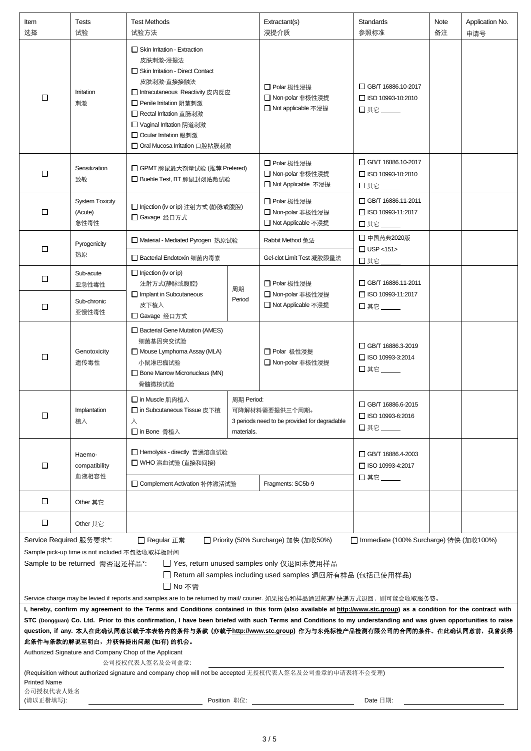| Item<br>选择                                                                                                                                                                                                                                                                                                                                                                                                                                                                                                                                                                                                                                                                                                                                                                                                                                                                                                                                                                                                                               | Tests<br>试验                               | <b>Test Methods</b><br>试验方法                                                                                                                                                                                                                                                              |                          | Extractant(s)<br>浸提介质                                          | <b>Standards</b><br>参照标准                                      | Note<br>备注 | Application No.<br>申请号 |  |
|------------------------------------------------------------------------------------------------------------------------------------------------------------------------------------------------------------------------------------------------------------------------------------------------------------------------------------------------------------------------------------------------------------------------------------------------------------------------------------------------------------------------------------------------------------------------------------------------------------------------------------------------------------------------------------------------------------------------------------------------------------------------------------------------------------------------------------------------------------------------------------------------------------------------------------------------------------------------------------------------------------------------------------------|-------------------------------------------|------------------------------------------------------------------------------------------------------------------------------------------------------------------------------------------------------------------------------------------------------------------------------------------|--------------------------|----------------------------------------------------------------|---------------------------------------------------------------|------------|------------------------|--|
| $\Box$                                                                                                                                                                                                                                                                                                                                                                                                                                                                                                                                                                                                                                                                                                                                                                                                                                                                                                                                                                                                                                   | Irritation<br>刺激                          | $\Box$ Skin Irritation - Extraction<br>皮肤刺激 浸提法<br>Skin Irritation - Direct Contact<br>皮肤刺激-直接接触法<br>□ Intracutaneous Reactivity 皮内反应<br>□ Penile Irritation 阴茎刺激<br>□ Rectal Irritation 直肠刺激<br>□ Vaginal Irritation 阴道刺激<br>□ Ocular Irritation 眼刺激<br>□ Oral Mucosa Irritation 口腔粘膜刺激 |                          | □ Polar 极性浸提<br>□ Non-polar 非极性浸提<br>□ Not applicable 不浸提      | GB/T 16886.10-2017<br>$\Box$ ISO 10993-10:2010<br>□ 其它 ______ |            |                        |  |
| □                                                                                                                                                                                                                                                                                                                                                                                                                                                                                                                                                                                                                                                                                                                                                                                                                                                                                                                                                                                                                                        | Sensitization<br>致敏                       | □ GPMT 豚鼠最大剂量试验 (推荐 Prefered)<br>□ Buehle Test, BT 豚鼠封闭贴敷试验                                                                                                                                                                                                                              |                          | □ Polar 极性浸提<br>□ Non-polar 非极性浸提<br>□ Not Applicable 不浸提      | GB/T 16886.10-2017<br>$\Box$ ISO 10993-10:2010<br>口其它         |            |                        |  |
| $\Box$                                                                                                                                                                                                                                                                                                                                                                                                                                                                                                                                                                                                                                                                                                                                                                                                                                                                                                                                                                                                                                   | <b>System Toxicity</b><br>(Acute)<br>急性毒性 | □ Injection (iv or ip) 注射方式 (静脉或腹腔)<br>□ Gavage 经口方式                                                                                                                                                                                                                                     |                          | □ Polar 极性浸提<br>□ Non-polar 非极性浸提<br>□ Not Applicable 不浸提      | GB/T 16886.11-2011<br>□ ISO 10993-11:2017<br>□其它_             |            |                        |  |
|                                                                                                                                                                                                                                                                                                                                                                                                                                                                                                                                                                                                                                                                                                                                                                                                                                                                                                                                                                                                                                          | Pyrogenicity                              | □ Material - Mediated Pyrogen 热原试验                                                                                                                                                                                                                                                       |                          | Rabbit Method 兔法                                               | □ 中国药典2020版                                                   |            |                        |  |
| □                                                                                                                                                                                                                                                                                                                                                                                                                                                                                                                                                                                                                                                                                                                                                                                                                                                                                                                                                                                                                                        | 热原                                        | □ Bacterial Endotoxin 细菌内毒素                                                                                                                                                                                                                                                              |                          | Gel-clot Limit Test 凝胶限量法                                      | $\Box$ USP <151><br>口其它                                       |            |                        |  |
| $\Box$                                                                                                                                                                                                                                                                                                                                                                                                                                                                                                                                                                                                                                                                                                                                                                                                                                                                                                                                                                                                                                   | Sub-acute<br>亚急性毒性                        | $\Box$ Injection (iv or ip)<br>注射方式(静脉或腹腔)<br>Implant in Subcutaneous                                                                                                                                                                                                                    | 周期<br>Period             | □ Polar 极性浸提<br>□ Non-polar 非极性浸提                              | □ GB/T 16886.11-2011<br>□ ISO 10993-11:2017                   |            |                        |  |
| $\Box$                                                                                                                                                                                                                                                                                                                                                                                                                                                                                                                                                                                                                                                                                                                                                                                                                                                                                                                                                                                                                                   | Sub-chronic<br>亚慢性毒性                      | 皮下植入<br>□ Gavage 经口方式                                                                                                                                                                                                                                                                    |                          | □ Not Applicable 不浸提                                           | 口其它 ______                                                    |            |                        |  |
| □                                                                                                                                                                                                                                                                                                                                                                                                                                                                                                                                                                                                                                                                                                                                                                                                                                                                                                                                                                                                                                        | Genotoxicity<br>遗传毒性                      | Bacterial Gene Mutation (AMES)<br>细菌基因突变试验<br>Mouse Lymphoma Assay (MLA)<br>小鼠淋巴瘤试验<br>Bone Marrow Micronucleus (MN)<br>骨髓微核试验                                                                                                                                                           |                          | □ Polar 极性浸提<br>□ Non-polar 非极性浸提                              | GB/T 16886.3-2019<br>□ ISO 10993-3:2014<br>$\square$ 其它       |            |                        |  |
| □                                                                                                                                                                                                                                                                                                                                                                                                                                                                                                                                                                                                                                                                                                                                                                                                                                                                                                                                                                                                                                        | Implantation<br>植入                        | □ in Muscle 肌肉植入<br>□ in Subcutaneous Tissue 皮下植<br>л<br>□ in Bone 骨植入                                                                                                                                                                                                                   | 周期 Period:<br>materials. | 可降解材料需要提供三个周期。<br>3 periods need to be provided for degradable | GB/T 16886.6-2015<br>$\Box$ ISO 10993-6:2016<br>□ 其它 ___      |            |                        |  |
| $\Box$                                                                                                                                                                                                                                                                                                                                                                                                                                                                                                                                                                                                                                                                                                                                                                                                                                                                                                                                                                                                                                   | Haemo-<br>compatibility<br>血液相容性          | □ Hemolysis - directly 普通溶血试验<br>□ WHO 溶血试验 (直接和间接)<br>□ Complement Activation 补体激活试验                                                                                                                                                                                                    |                          | Fragments: SC5b-9                                              | □ GB/T 16886.4-2003<br>□ ISO 10993-4:2017<br>□其它___           |            |                        |  |
| □                                                                                                                                                                                                                                                                                                                                                                                                                                                                                                                                                                                                                                                                                                                                                                                                                                                                                                                                                                                                                                        | Other 其它                                  |                                                                                                                                                                                                                                                                                          |                          |                                                                |                                                               |            |                        |  |
| $\Box$                                                                                                                                                                                                                                                                                                                                                                                                                                                                                                                                                                                                                                                                                                                                                                                                                                                                                                                                                                                                                                   | Other 其它                                  |                                                                                                                                                                                                                                                                                          |                          |                                                                |                                                               |            |                        |  |
| Service Required 服务要求*:<br>□ Regular 正常<br>□ Priority (50% Surcharge) 加快 (加收50%)<br>□ Immediate (100% Surcharge) 特快 (加收100%)<br>Sample pick-up time is not included 不包括收取样板时间<br>Sample to be returned 需否退还样品*:<br>□ Yes, return unused samples only 仅退回未使用样品<br>□ Return all samples including used samples 退回所有样品 (包括已使用样品)<br>□ No 不需<br>Service charge may be levied if reports and samples are to be returned by mail/ courier. 如果报告和样品通过邮递/ 快递方式退回,则可能会收取服务费。<br>I, hereby, confirm my agreement to the Terms and Conditions contained in this form (also available at http://www.stc.group) as a condition for the contract with<br>STC (Dongguan) Co. Ltd. Prior to this confirmation, I have been briefed with such Terms and Conditions to my understanding and was given opportunities to raise<br>question, if any. 本人在此确认同意以载于本表格内的条件与条款 (亦载于 <u>http://www.stc.group</u> ) 作为与东莞标检产品检测有限公司的合同的条件。在此确认同意前,我曾获得<br>此条件与条款的解说至明白,并获得提出问题(如有)的机会。<br>Authorized Signature and Company Chop of the Applicant<br>公司授权代表人签名及公司盖章: |                                           |                                                                                                                                                                                                                                                                                          |                          |                                                                |                                                               |            |                        |  |
| <b>Printed Name</b><br>公司授权代表人姓名                                                                                                                                                                                                                                                                                                                                                                                                                                                                                                                                                                                                                                                                                                                                                                                                                                                                                                                                                                                                         |                                           | (Requisition without authorized signature and company chop will not be accepted 无授权代表人签名及公司盖章的申请表将不会受理)                                                                                                                                                                                  |                          |                                                                |                                                               |            |                        |  |
| (请以正楷填写):                                                                                                                                                                                                                                                                                                                                                                                                                                                                                                                                                                                                                                                                                                                                                                                                                                                                                                                                                                                                                                | Date 日期:                                  |                                                                                                                                                                                                                                                                                          |                          |                                                                |                                                               |            |                        |  |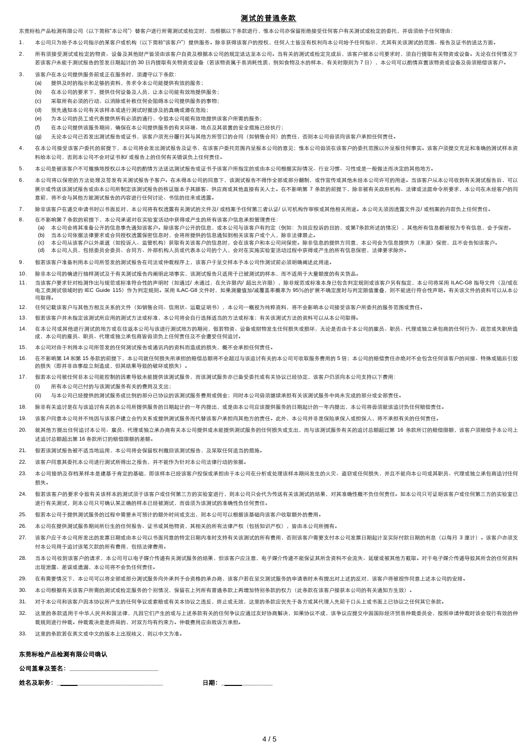# 测试的普通条款

东莞标检产品检测有限公司(以下简称"本公司")替客户进行所需测试或检定时,当根据以下条款进行,惟本公司亦保留拒绝接受任何客户有关测试或检定的委托,并毋须给予任何理由;

- 1. 本公司只为给予本公司指示的某客户或机构(以下简称"该客户")提供服务。除非获得该客户的授权,任何人士皆没有权利向本公司给予任何指示,尤其有关该测试的范围、报告及证书的送达方面。
- 2. 所有须接受测试或检定的物资、设备及其他财产皆须由该客户自资及根据本公司的规定送达至本公司。当有关的测试或检定完成后,该客户被本公司要求时,须自行提取有关物资或设备。无论在任何情况下 若该客户未能于测试报告的签发日期起计的 30 日内提取有关物资或设备(若该物资属于易消耗性质,例如食物及水的样本,有关时限则为 7 日),本公司可以酌情弃置该物资或设备及毋须赔偿该客户。
- 3. 该客户在本公司提供服务前或正在服务时,须遵守以下条款:
	- (a) 提供及时的指示和足够的资料,务求令本公司能提供有效的服务;
	- (b) 在本公司的要求下,提供任何设备及人员,让本公司能有效地提供服务;
	- (c) 采取所有必须的行动,以消除或补救任何会阻碍本公司提供服务的事物;
	- (d) 预先通知本公司有关该样本或进行测试时据涉及的真确或潜在危险;
	- (e) 为本公司的员工或代表提供所有必须的通行,令致本公司能有效地提供该客户所需的服务;
	- (f) 在本公司提供该服务期间,确保在本公司提供服务的有关环境、地点及其装臵的安全措施已经执行;
	- (g) 无论本公司已否发出测试报告或证书,该客户须充分履行其与其他方所签订的合同(如销售合同)的责任,否则本公司毋须向该客户承担任何责任。
- 4. 在本公司接受该客户委托的前提下,本公司将会发出测试报告及证书,在该客户委托范围内呈报本公司的意见;惟本公司毋须在该客户的委托范围以外呈报任何事实。该客户须提交充足和准确的测试样本资 料给本公司,否则本公司不会对证书和/ 或报告上的任何有关错误负上任何责任。
- 5. 本公司是被该客户不可撤换地授权以本公司的酌情方法送达测试报告或证书予该客户所指定的或由本公司根据实际情况、行业习惯、习性或是一般做法而决定的其他地方。
- 6. 本公司将以保密的方法处理及签发有关测试报告予客户。在未得本公司的同意下,该测试报告不得作全部或部分翻制,或作宣传或其他未经本公司许可的用途。当该客户从本公司收到有关测试报告后,可以 展示或传送该测试报告或由本公司所制定该测试报告的核证版本予其顾客、供应商或其他直接有关人士。在不影响第 7 条款的前提下、除非被有关政府机构、法律或法庭命今所要求,本公司在未经客户的同 意前,将不会与其他方就测试报告的内容进行任何讨论、书信的往来或透露。
- 7. 除非该客户在递交申请书时以书面反对,本公司将有权透露有关测试的文件及/ 或档案予任何第三者认证/ 认可机构作审核或其他相关用途。本公司无须因透露文件及/ 或档案的内容负上任何责任。
- 8. 在不影响第 7 条款的前提下,本公司承诺对在实验室活动中获得或产生的所有该客户信息承担管理责任:
	- (a) 本公司会将其准备公开的信息事先通知该客户。除该客户公开的信息,或本公司与该客户有约定(例如:为回应投诉的目的,或第7条款所述的情况),其他所有信息都被视为专有信息,会予保密。 (b) 当本公司依据法律要求或合同授权透露保密信息时,会将所提供的信息通知到相关该客户或个人,除非法律禁止。
	- (c) 本公司从该客户以外渠道(如投诉人、监管机构)获取有关该客户的信息时,会在该客户和本公司间保密。除非信息的提供方同意,本公司会为信息提供方(来源)保密,且不会告知该客户。
	- (d) 本公司人员,包括委员会委员、合同方、外部机构人员或代表本公司的个人,会对在实施实验室活动过程中获得或产生的所有信息保密,法律要求除外。
- 9. 假若该客户准备利用本公司所签发的测试报告在司法或仲裁程序上,该客户于呈交样本予本公司作测试前必须明确阐述此用途。
- 10. 除非本公司的确进行抽样测试及于有关测试报告内阐明此项事实,该测试报告只适用于已被测试的样本,而不适用于大量额度的有关货品。
- 11. 当该客户要求针对检测作出与规范或标准符合性的声明时(如通过/ 未通过,在允许限内/ 超出允许限),除非规范或标准本身已包含判定规则或该客户另有指定,本公司将采用 ILAC-G8 指导文件(及/或在 由工类测试领域时的 IEC Guide 115)作为判定规则。采用 ILAC-G8 文件时,如果测量值加/减覆盖率概率为 95%的扩展不确定度时与判定限值重叠,则不能进行符合性声明。有关该文件的资料可以从本公 司取得。
- 12. 任何记载该客户与其他方相互关系的文件(如销售合同、信用状、运载证明书),本公司一概视为纯粹资料,将不会影响本公司接受该客户所委托的服务范围或责任。
- 13. 假若该客户并未指定该测试所应用的测试方法或标准,本公司将会自行选择适当的方法或标准;有关该测试方法的资料可以从本公司取得。
- 14. 在本公司或其他进行测试的地方或在往返本公司与该进行测试地方的期间,假若物资、设备或财物发生任何损失或损坏,无论是否由于本公司的雇员、职员、代理或独立承包商的任何行为、疏忽或失职所造 成,本公司的雇员、职员、代理或独立承包商皆毋须负上任何责任及不会遭受任何追讨。
- 15. 本公司对由于利用本公司所签发的任何测试报告或通讯内的资料而造成的损失,概不会承担任何责任。
- 16. 在不影响第 14 和第 15 条款的前提下,本公司就任何损失所承担的赔偿总额将不会超过与该追讨有关的本公司可收取服务费用的 5 倍;本公司的赔偿责任亦绝对不会包含任何该客户的间接、特殊或随后引致 的损失(即并非由事故立刻造成,但其结果导致的破坏或损失)。
- 17. 假若本公司被任何非本公司能控制的因素导致未能提供该测试服务,而该测试服务亦已备受委托或有关协议已经协定,该客户仍须向本公司支持以下费用:
	- (i) 所有本公司已付的与该测试服务有关的费用及支出;
	- (ii) 与本公司已经提供的测试服务成比例的部分已协议的该测试服务费用或佣金;同时本公司毋须继续承担有关该测试服务中尚未完成的部分或全部责任。
- 18. 除非有关追认是在与该追讨有关的本公司所提供服务的日期起计的一年内提出,或是由本公司应该提供服务的日期起计的一年内提出,本公司将毋须就该追讨负任何赔偿责任。
- 19. 该客户同意本公司并不纯因与该客户建立合约关系或提供测试服务而代替该客户承担向其他方的责任。此外,本公司并非是保险承保人或担保人,将不承担有关的任何责任。
- 20. 就其他方提出任何追讨本公司、雇员、代理或独立承办商有关本公司提供或未能提供测试服务的任何损失或支出,而与该测试服务有关的追讨总额超过第 16 条款所订的赔偿限额,该客户须赔偿予本公司上 述追讨总额超出第 16 条款所订的赔偿限额的差额。
- 21. 假若该测试报告被不适当地运用,本公司将会保留权利撤回该测试报告,及采取任何适当的措施。
- 22. 该客户同意其委托本公司进行测试所得出之报告,并不能作为针对本公司法律行动的依据。
- 23. 本公司接纳及存档某样本是建基于肯定的基础,即该样本已经该客户投保或承担由于本公司在分析或处理该样本期间发生的火灾、盗窃或任何损失,并且不能向本公司或其职员、代理或独立承包商追讨任何 损失。
- 24. 假若该客户的要求令致有关该样本的测试须于该客户或任何第三方的实验室进行,则本公司只会代为传送有关该测试的结果,对其准确性概不负任何责任。如本公司只可证明该客户或任何第三方的实验室已 进行有关测试,则本公司只可确认某正确的样本已经被测试,而毋须为该测试的准确性负任何责任。
- 25. 假若本公司于提供测试服务的过程中需要未可预计的额外时间或支出,则本公司可以根据该基础向该客户收取额外的费用。
- 26. 本公司在提供测试服务期间所衍生的任何报告、证书或其他物资,其相关的所有法律产权(包括知识产权),皆由本公司所拥有。
- 27. 该客户应于本公司所发出的发票日期或由本公司以书面同意的特定日期内准时支持有关该测试的所有费用,否则该客户需要支付本公司发票日期起计至实际付款日期的利息(以每月 3 厘计)。该客户亦须支 付本公司用于追讨该笔欠款的所有费用,包括法律费用。
- 28. 当本公司收到该客户的请求,本公司可以电子媒介传递有关测试服务的结果,但该客户应注意,电子媒介传递不能保证其所含资料不会流失、延缓或被其他方截取。对于电子媒介传递导致其所含的任何资料 出现泄露、差误或遗漏,本公司将不会负任何责任。
- 29. 在有需要情况下,本公司可以将全部或部分测试服务向外承判予合资格的承办商,该客户若在呈交测试服务的申请表时未有提出对上述的反对,该客户将被视作同意上述本公司的安排。
- 30. 本公司根据有关该客户所需的测试或检定服务的个别情况,保留在上列所有普通条款上再增加特别条款的权力(此条款在该客户接获本公司的有关通知方生效)。
- 31. 对于本公司和该客户因本协议所产生的任何争议或索赔或有关本协议之违反,终止或无效,这里的条款应优先于各方或其代理人先前于口头上或书面上已协议之任何其它条款。
- 32. 这里的条款适用于中华人民共和国法律,凡因它们产生的或与上述条款有关的任何争议应通过友好协商解决,如果协议不成,该争议应提交中国国际经济贸易仲裁委员会,按照申请仲裁时该会现行有效的仲 裁规则进行仲裁。仲裁裁决是是终局的,对双方均有约束力。仲裁费用应由败诉方承担。
- 33. 这里的条款若在英文或中文的版本上出现歧义,则以中文为准。

## 东莞标检产品检测有限公司确认

## 公司盖章及签名:

| 姓名及职务: |  |
|--------|--|
|--------|--|

日期: \_